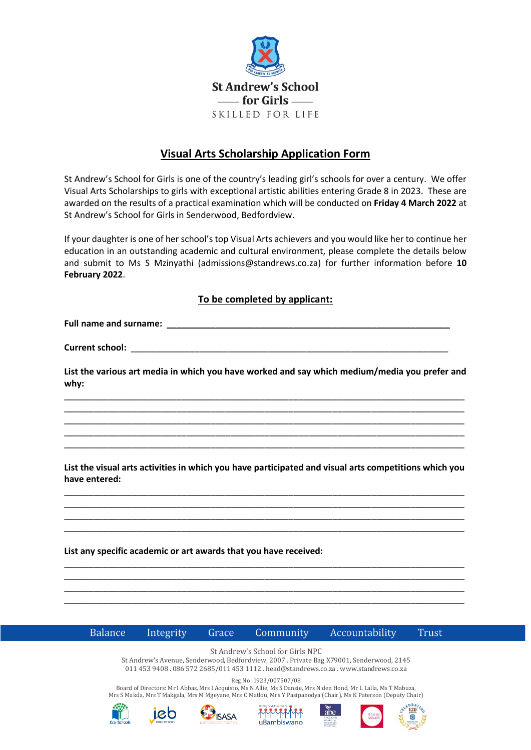

## **Visual Arts Scholarship Application Form**

St Andrew's School for Girls is one of the country's leading girl's schools for over a century. We offer Visual Arts Scholarships to girls with exceptional artistic abilities entering Grade 8 in 2023. These are awarded on the results of a practical examination which will be conducted on **Friday 4 March 2022** at St Andrew's School for Girls in Senderwood, Bedfordview.

If your daughter is one of her school's top Visual Arts achievers and you would like her to continue her education in an outstanding academic and cultural environment, please complete the details below and submit to Ms S Mzinyathi [\(admissions@standrews.co.za\)](mailto:admissions@standrews.co.za) for further information before **10 February 2022**.

## **To be completed by applicant:**

**Full name and surname:** \_\_\_\_\_\_\_\_\_\_\_\_\_\_\_\_\_\_\_\_\_\_\_\_\_\_\_\_\_\_\_\_\_\_\_\_\_\_\_\_\_\_\_\_\_\_\_\_\_\_\_\_\_\_\_\_\_\_

**Current school:** 

**List the various art media in which you have worked and say which medium/media you prefer and why:**

\_\_\_\_\_\_\_\_\_\_\_\_\_\_\_\_\_\_\_\_\_\_\_\_\_\_\_\_\_\_\_\_\_\_\_\_\_\_\_\_\_\_\_\_\_\_\_\_\_\_\_\_\_\_\_\_\_\_\_\_\_\_\_\_\_\_\_\_\_\_\_\_\_\_\_\_\_\_\_\_\_\_ \_\_\_\_\_\_\_\_\_\_\_\_\_\_\_\_\_\_\_\_\_\_\_\_\_\_\_\_\_\_\_\_\_\_\_\_\_\_\_\_\_\_\_\_\_\_\_\_\_\_\_\_\_\_\_\_\_\_\_\_\_\_\_\_\_\_\_\_\_\_\_\_\_\_\_\_\_\_\_\_\_\_ \_\_\_\_\_\_\_\_\_\_\_\_\_\_\_\_\_\_\_\_\_\_\_\_\_\_\_\_\_\_\_\_\_\_\_\_\_\_\_\_\_\_\_\_\_\_\_\_\_\_\_\_\_\_\_\_\_\_\_\_\_\_\_\_\_\_\_\_\_\_\_\_\_\_\_\_\_\_\_\_\_\_ \_\_\_\_\_\_\_\_\_\_\_\_\_\_\_\_\_\_\_\_\_\_\_\_\_\_\_\_\_\_\_\_\_\_\_\_\_\_\_\_\_\_\_\_\_\_\_\_\_\_\_\_\_\_\_\_\_\_\_\_\_\_\_\_\_\_\_\_\_\_\_\_\_\_\_\_\_\_\_\_\_\_ \_\_\_\_\_\_\_\_\_\_\_\_\_\_\_\_\_\_\_\_\_\_\_\_\_\_\_\_\_\_\_\_\_\_\_\_\_\_\_\_\_\_\_\_\_\_\_\_\_\_\_\_\_\_\_\_\_\_\_\_\_\_\_\_\_\_\_\_\_\_\_\_\_\_\_\_\_\_\_\_\_\_

**List the visual arts activities in which you have participated and visual arts competitions which you have entered:** 

\_\_\_\_\_\_\_\_\_\_\_\_\_\_\_\_\_\_\_\_\_\_\_\_\_\_\_\_\_\_\_\_\_\_\_\_\_\_\_\_\_\_\_\_\_\_\_\_\_\_\_\_\_\_\_\_\_\_\_\_\_\_\_\_\_\_\_\_\_\_\_\_\_\_\_\_\_\_\_\_\_\_ \_\_\_\_\_\_\_\_\_\_\_\_\_\_\_\_\_\_\_\_\_\_\_\_\_\_\_\_\_\_\_\_\_\_\_\_\_\_\_\_\_\_\_\_\_\_\_\_\_\_\_\_\_\_\_\_\_\_\_\_\_\_\_\_\_\_\_\_\_\_\_\_\_\_\_\_\_\_\_\_\_\_ \_\_\_\_\_\_\_\_\_\_\_\_\_\_\_\_\_\_\_\_\_\_\_\_\_\_\_\_\_\_\_\_\_\_\_\_\_\_\_\_\_\_\_\_\_\_\_\_\_\_\_\_\_\_\_\_\_\_\_\_\_\_\_\_\_\_\_\_\_\_\_\_\_\_\_\_\_\_\_\_\_\_ \_\_\_\_\_\_\_\_\_\_\_\_\_\_\_\_\_\_\_\_\_\_\_\_\_\_\_\_\_\_\_\_\_\_\_\_\_\_\_\_\_\_\_\_\_\_\_\_\_\_\_\_\_\_\_\_\_\_\_\_\_\_\_\_\_\_\_\_\_\_\_\_\_\_\_\_\_\_\_\_\_\_

\_\_\_\_\_\_\_\_\_\_\_\_\_\_\_\_\_\_\_\_\_\_\_\_\_\_\_\_\_\_\_\_\_\_\_\_\_\_\_\_\_\_\_\_\_\_\_\_\_\_\_\_\_\_\_\_\_\_\_\_\_\_\_\_\_\_\_\_\_\_\_\_\_\_\_\_\_\_\_\_\_\_ \_\_\_\_\_\_\_\_\_\_\_\_\_\_\_\_\_\_\_\_\_\_\_\_\_\_\_\_\_\_\_\_\_\_\_\_\_\_\_\_\_\_\_\_\_\_\_\_\_\_\_\_\_\_\_\_\_\_\_\_\_\_\_\_\_\_\_\_\_\_\_\_\_\_\_\_\_\_\_\_\_\_ \_\_\_\_\_\_\_\_\_\_\_\_\_\_\_\_\_\_\_\_\_\_\_\_\_\_\_\_\_\_\_\_\_\_\_\_\_\_\_\_\_\_\_\_\_\_\_\_\_\_\_\_\_\_\_\_\_\_\_\_\_\_\_\_\_\_\_\_\_\_\_\_\_\_\_\_\_\_\_\_\_\_ \_\_\_\_\_\_\_\_\_\_\_\_\_\_\_\_\_\_\_\_\_\_\_\_\_\_\_\_\_\_\_\_\_\_\_\_\_\_\_\_\_\_\_\_\_\_\_\_\_\_\_\_\_\_\_\_\_\_\_\_\_\_\_\_\_\_\_\_\_\_\_\_\_\_\_\_\_\_\_\_\_\_

**List any specific academic or art awards that you have received:** 



Integrity Grace Community

Accountability Trust

St Andrew's School for Girls NPC

St Andrew's Avenue, Senderwood, Bedfordview, 2007 . Private Bag X79001, Senderwood, 2145 011 453 9408 . 086 572 2685/011 453 1112 . head@standrews.co.za . www.standrews.co.za

Reg No: 1923/007507/08

Board of Directors: Mr I Abbas, Mrs I Acquisto, Ms N Allie, Ms S Dansie, Mrs N den Hond, Mr L Lalla, Ms T Mabuza, Mrs S Makda, Mrs T Makgala, Mrs M Mgeyane, Mrs C Matlou, Mrs Y Pasipanodya (Chair), Ms K Paterson (Deputy Chair)